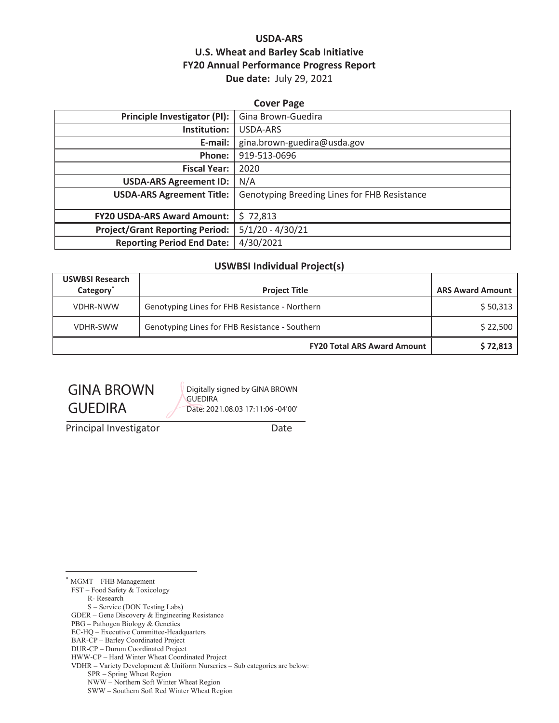#### **USDA-ARS U.S. Wheat and Barley Scab Initiative FY20 Annual Performance Progress Report Due date:** July 29, 2021

| <b>Cover Page</b>                      |                                              |  |  |
|----------------------------------------|----------------------------------------------|--|--|
| Principle Investigator (PI):           | Gina Brown-Guedira                           |  |  |
| Institution:                           | USDA-ARS                                     |  |  |
| E-mail:                                | gina.brown-guedira@usda.gov                  |  |  |
| Phone:                                 | 919-513-0696                                 |  |  |
| <b>Fiscal Year:</b>                    | 2020                                         |  |  |
| <b>USDA-ARS Agreement ID:</b>          | N/A                                          |  |  |
| <b>USDA-ARS Agreement Title:</b>       | Genotyping Breeding Lines for FHB Resistance |  |  |
|                                        |                                              |  |  |
| <b>FY20 USDA-ARS Award Amount:</b>     | \$72,813                                     |  |  |
| <b>Project/Grant Reporting Period:</b> | $5/1/20 - 4/30/21$                           |  |  |
| <b>Reporting Period End Date:</b>      | 4/30/2021                                    |  |  |

#### **USWBSI Individual Project(s)**

| <b>USWBSI Research</b><br>Category <sup>*</sup> | <b>Project Title</b>                           | <b>ARS Award Amount</b> |  |
|-------------------------------------------------|------------------------------------------------|-------------------------|--|
| <b>VDHR-NWW</b>                                 | Genotyping Lines for FHB Resistance - Northern | \$50,313                |  |
| <b>VDHR-SWW</b>                                 | Genotyping Lines for FHB Resistance - Southern | \$22,500                |  |
|                                                 | <b>FY20 Total ARS Award Amount</b>             | \$72,813                |  |

# GINA BROWN GUEDIRA

Digitally signed by GINA BROWN **GUEDIRA** Date: 2021.08.03 17:11:06 -04'00'

Principal Investigator **Date** 

\* MGMT – FHB Management

FST – Food Safety & Toxicology

R- Research

S – Service (DON Testing Labs)

GDER – Gene Discovery & Engineering Resistance

PBG – Pathogen Biology & Genetics

EC-HQ – Executive Committee-Headquarters

BAR-CP – Barley Coordinated Project DUR-CP – Durum Coordinated Project

HWW-CP – Hard Winter Wheat Coordinated Project

VDHR – Variety Development & Uniform Nurseries – Sub categories are below:

SPR – Spring Wheat Region

NWW – Northern Soft Winter Wheat Region

SWW – Southern Soft Red Winter Wheat Region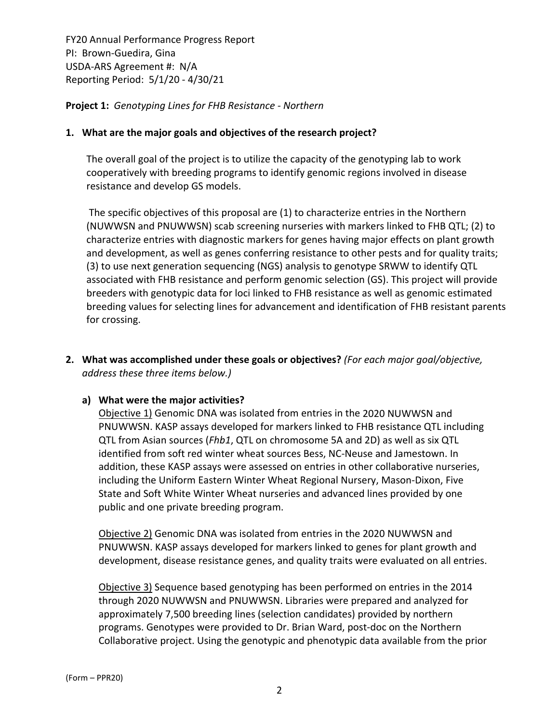**Project 1:** *Genotyping Lines for FHB Resistance ‐ Northern*

#### **1. What are the major goals and objectives of the research project?**

The overall goal of the project is to utilize the capacity of the genotyping lab to work cooperatively with breeding programs to identify genomic regions involved in disease resistance and develop GS models.

The specific objectives of this proposal are (1) to characterize entries in the Northern (NUWWSN and PNUWWSN) scab screening nurseries with markers linked to FHB QTL; (2) to characterize entries with diagnostic markers for genes having major effects on plant growth and development, as well as genes conferring resistance to other pests and for quality traits; (3) to use next generation sequencing (NGS) analysis to genotype SRWW to identify QTL associated with FHB resistance and perform genomic selection (GS). This project will provide breeders with genotypic data for loci linked to FHB resistance as well as genomic estimated breeding values for selecting lines for advancement and identification of FHB resistant parents for crossing.

**2. What was accomplished under these goals or objectives?** *(For each major goal/objective, address these three items below.)*

#### **a) What were the major activities?**

Objective 1) Genomic DNA was isolated from entries in the 2020 NUWWSN and PNUWWSN. KASP assays developed for markers linked to FHB resistance QTL including QTL from Asian sources (*Fhb1*, QTL on chromosome 5A and 2D) as well as six QTL identified from soft red winter wheat sources Bess, NC‐Neuse and Jamestown. In addition, these KASP assays were assessed on entries in other collaborative nurseries, including the Uniform Eastern Winter Wheat Regional Nursery, Mason‐Dixon, Five State and Soft White Winter Wheat nurseries and advanced lines provided by one public and one private breeding program.

Objective 2) Genomic DNA was isolated from entries in the 2020 NUWWSN and PNUWWSN. KASP assays developed for markers linked to genes for plant growth and development, disease resistance genes, and quality traits were evaluated on all entries.

Objective 3) Sequence based genotyping has been performed on entries in the 2014 through 2020 NUWWSN and PNUWWSN. Libraries were prepared and analyzed for approximately 7,500 breeding lines (selection candidates) provided by northern programs. Genotypes were provided to Dr. Brian Ward, post‐doc on the Northern Collaborative project. Using the genotypic and phenotypic data available from the prior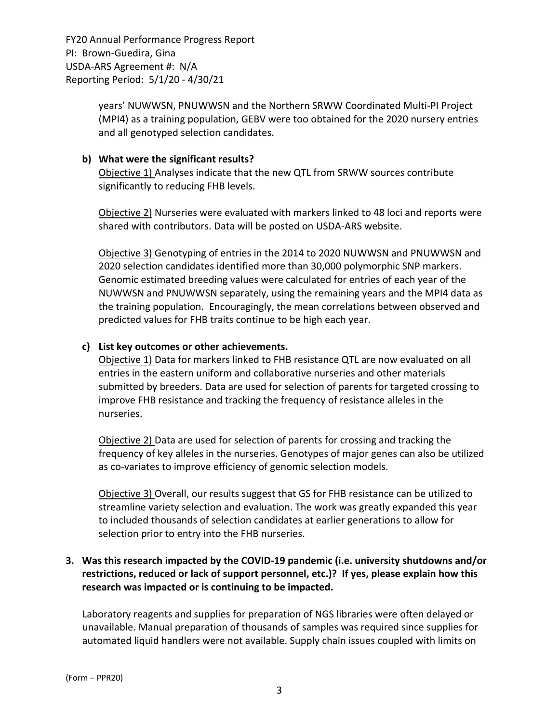> years' NUWWSN, PNUWWSN and the Northern SRWW Coordinated Multi‐PI Project (MPI4) as a training population, GEBV were too obtained for the 2020 nursery entries and all genotyped selection candidates.

#### **b) What were the significant results?**

Objective 1) Analyses indicate that the new QTL from SRWW sources contribute significantly to reducing FHB levels.

Objective 2) Nurseries were evaluated with markers linked to 48 loci and reports were shared with contributors. Data will be posted on USDA‐ARS website.

Objective 3) Genotyping of entries in the 2014 to 2020 NUWWSN and PNUWWSN and 2020 selection candidates identified more than 30,000 polymorphic SNP markers. Genomic estimated breeding values were calculated for entries of each year of the NUWWSN and PNUWWSN separately, using the remaining years and the MPI4 data as the training population. Encouragingly, the mean correlations between observed and predicted values for FHB traits continue to be high each year.

#### **c) List key outcomes or other achievements.**

Objective 1) Data for markers linked to FHB resistance QTL are now evaluated on all entries in the eastern uniform and collaborative nurseries and other materials submitted by breeders. Data are used for selection of parents for targeted crossing to improve FHB resistance and tracking the frequency of resistance alleles in the nurseries.

Objective 2) Data are used for selection of parents for crossing and tracking the frequency of key alleles in the nurseries. Genotypes of major genes can also be utilized as co-variates to improve efficiency of genomic selection models.

Objective 3) Overall, our results suggest that GS for FHB resistance can be utilized to streamline variety selection and evaluation. The work was greatly expanded this year to included thousands of selection candidates at earlier generations to allow for selection prior to entry into the FHB nurseries.

#### **3. Was this research impacted by the COVID‐19 pandemic (i.e. university shutdowns and/or restrictions, reduced or lack of support personnel, etc.)? If yes, please explain how this research was impacted or is continuing to be impacted.**

Laboratory reagents and supplies for preparation of NGS libraries were often delayed or unavailable. Manual preparation of thousands of samples was required since supplies for automated liquid handlers were not available. Supply chain issues coupled with limits on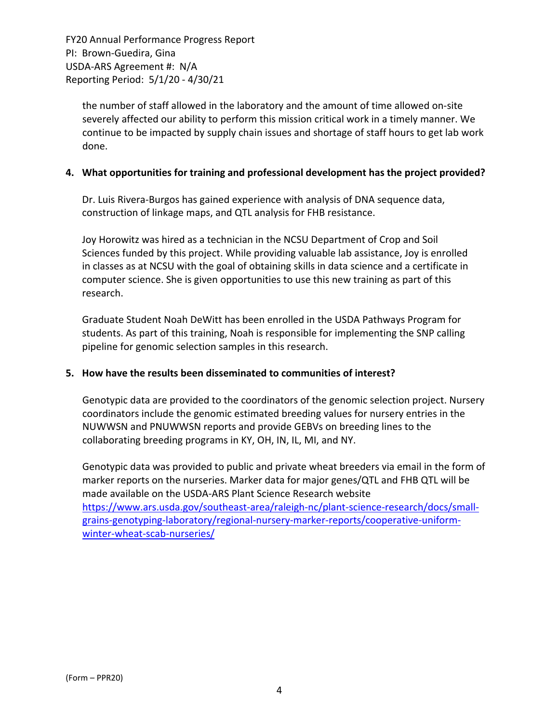the number of staff allowed in the laboratory and the amount of time allowed on‐site severely affected our ability to perform this mission critical work in a timely manner. We continue to be impacted by supply chain issues and shortage of staff hours to get lab work done.

#### **4. What opportunities for training and professional development has the project provided?**

Dr. Luis Rivera‐Burgos has gained experience with analysis of DNA sequence data, construction of linkage maps, and QTL analysis for FHB resistance.

Joy Horowitz was hired as a technician in the NCSU Department of Crop and Soil Sciences funded by this project. While providing valuable lab assistance, Joy is enrolled in classes as at NCSU with the goal of obtaining skills in data science and a certificate in computer science. She is given opportunities to use this new training as part of this research.

Graduate Student Noah DeWitt has been enrolled in the USDA Pathways Program for students. As part of this training, Noah is responsible for implementing the SNP calling pipeline for genomic selection samples in this research.

#### **5. How have the results been disseminated to communities of interest?**

Genotypic data are provided to the coordinators of the genomic selection project. Nursery coordinators include the genomic estimated breeding values for nursery entries in the NUWWSN and PNUWWSN reports and provide GEBVs on breeding lines to the collaborating breeding programs in KY, OH, IN, IL, MI, and NY.

Genotypic data was provided to public and private wheat breeders via email in the form of marker reports on the nurseries. Marker data for major genes/QTL and FHB QTL will be made available on the USDA‐ARS Plant Science Research website https://www.ars.usda.gov/southeast‐area/raleigh‐nc/plant‐science‐research/docs/small‐ grains‐genotyping‐laboratory/regional‐nursery‐marker‐reports/cooperative‐uniform‐ winter-wheat-scab-nurseries/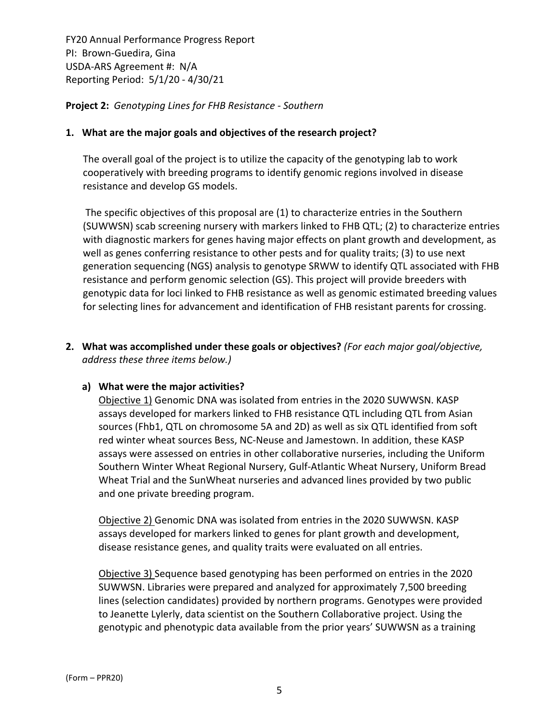**Project 2:** *Genotyping Lines for FHB Resistance ‐ Southern*

#### **1. What are the major goals and objectives of the research project?**

The overall goal of the project is to utilize the capacity of the genotyping lab to work cooperatively with breeding programs to identify genomic regions involved in disease resistance and develop GS models.

The specific objectives of this proposal are (1) to characterize entries in the Southern (SUWWSN) scab screening nursery with markers linked to FHB QTL; (2) to characterize entries with diagnostic markers for genes having major effects on plant growth and development, as well as genes conferring resistance to other pests and for quality traits; (3) to use next generation sequencing (NGS) analysis to genotype SRWW to identify QTL associated with FHB resistance and perform genomic selection (GS). This project will provide breeders with genotypic data for loci linked to FHB resistance as well as genomic estimated breeding values for selecting lines for advancement and identification of FHB resistant parents for crossing.

**2. What was accomplished under these goals or objectives?** *(For each major goal/objective, address these three items below.)*

#### **a) What were the major activities?**

Objective 1) Genomic DNA was isolated from entries in the 2020 SUWWSN. KASP assays developed for markers linked to FHB resistance QTL including QTL from Asian sources (Fhb1, QTL on chromosome 5A and 2D) as well as six QTL identified from soft red winter wheat sources Bess, NC‐Neuse and Jamestown. In addition, these KASP assays were assessed on entries in other collaborative nurseries, including the Uniform Southern Winter Wheat Regional Nursery, Gulf‐Atlantic Wheat Nursery, Uniform Bread Wheat Trial and the SunWheat nurseries and advanced lines provided by two public and one private breeding program.

Objective 2) Genomic DNA was isolated from entries in the 2020 SUWWSN. KASP assays developed for markers linked to genes for plant growth and development, disease resistance genes, and quality traits were evaluated on all entries.

Objective 3) Sequence based genotyping has been performed on entries in the 2020 SUWWSN. Libraries were prepared and analyzed for approximately 7,500 breeding lines (selection candidates) provided by northern programs. Genotypes were provided to Jeanette Lylerly, data scientist on the Southern Collaborative project. Using the genotypic and phenotypic data available from the prior years' SUWWSN as a training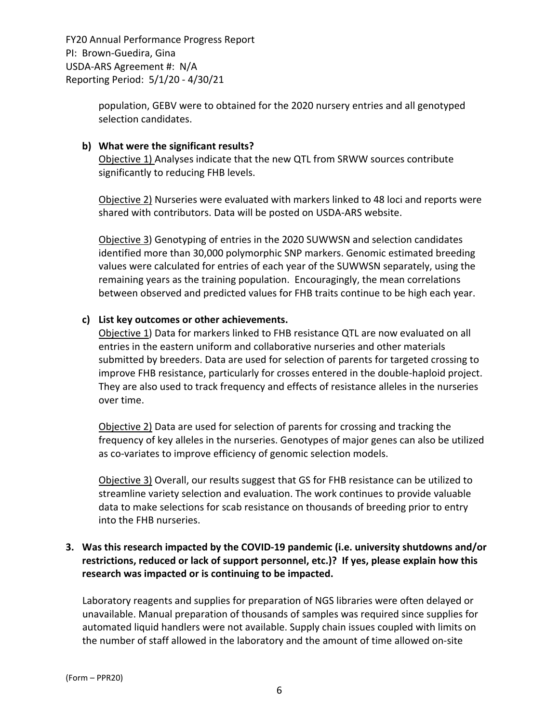> population, GEBV were to obtained for the 2020 nursery entries and all genotyped selection candidates.

#### **b) What were the significant results?**

Objective 1) Analyses indicate that the new QTL from SRWW sources contribute significantly to reducing FHB levels.

Objective 2) Nurseries were evaluated with markers linked to 48 loci and reports were shared with contributors. Data will be posted on USDA‐ARS website.

Objective 3) Genotyping of entries in the 2020 SUWWSN and selection candidates identified more than 30,000 polymorphic SNP markers. Genomic estimated breeding values were calculated for entries of each year of the SUWWSN separately, using the remaining years as the training population. Encouragingly, the mean correlations between observed and predicted values for FHB traits continue to be high each year.

#### **c) List key outcomes or other achievements.**

Objective 1) Data for markers linked to FHB resistance QTL are now evaluated on all entries in the eastern uniform and collaborative nurseries and other materials submitted by breeders. Data are used for selection of parents for targeted crossing to improve FHB resistance, particularly for crosses entered in the double‐haploid project. They are also used to track frequency and effects of resistance alleles in the nurseries over time.

Objective 2) Data are used for selection of parents for crossing and tracking the frequency of key alleles in the nurseries. Genotypes of major genes can also be utilized as co-variates to improve efficiency of genomic selection models.

**Objective 3)** Overall, our results suggest that GS for FHB resistance can be utilized to streamline variety selection and evaluation. The work continues to provide valuable data to make selections for scab resistance on thousands of breeding prior to entry into the FHB nurseries.

#### **3. Was this research impacted by the COVID‐19 pandemic (i.e. university shutdowns and/or restrictions, reduced or lack of support personnel, etc.)? If yes, please explain how this research was impacted or is continuing to be impacted.**

Laboratory reagents and supplies for preparation of NGS libraries were often delayed or unavailable. Manual preparation of thousands of samples was required since supplies for automated liquid handlers were not available. Supply chain issues coupled with limits on the number of staff allowed in the laboratory and the amount of time allowed on‐site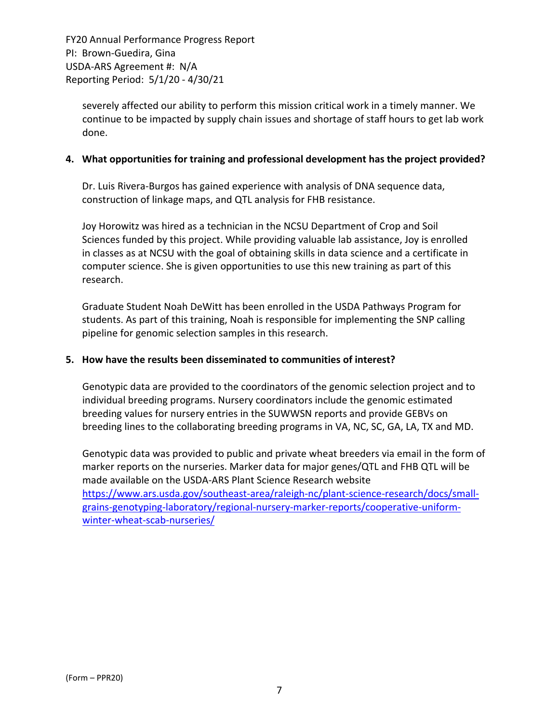severely affected our ability to perform this mission critical work in a timely manner. We continue to be impacted by supply chain issues and shortage of staff hours to get lab work done.

#### **4. What opportunities for training and professional development has the project provided?**

Dr. Luis Rivera‐Burgos has gained experience with analysis of DNA sequence data, construction of linkage maps, and QTL analysis for FHB resistance.

Joy Horowitz was hired as a technician in the NCSU Department of Crop and Soil Sciences funded by this project. While providing valuable lab assistance, Joy is enrolled in classes as at NCSU with the goal of obtaining skills in data science and a certificate in computer science. She is given opportunities to use this new training as part of this research.

Graduate Student Noah DeWitt has been enrolled in the USDA Pathways Program for students. As part of this training, Noah is responsible for implementing the SNP calling pipeline for genomic selection samples in this research.

#### **5. How have the results been disseminated to communities of interest?**

Genotypic data are provided to the coordinators of the genomic selection project and to individual breeding programs. Nursery coordinators include the genomic estimated breeding values for nursery entries in the SUWWSN reports and provide GEBVs on breeding lines to the collaborating breeding programs in VA, NC, SC, GA, LA, TX and MD.

Genotypic data was provided to public and private wheat breeders via email in the form of marker reports on the nurseries. Marker data for major genes/QTL and FHB QTL will be made available on the USDA‐ARS Plant Science Research website https://www.ars.usda.gov/southeast‐area/raleigh‐nc/plant‐science‐research/docs/small‐ grains-genotyping-laboratory/regional-nursery-marker-reports/cooperative-uniformwinter-wheat-scab-nurseries/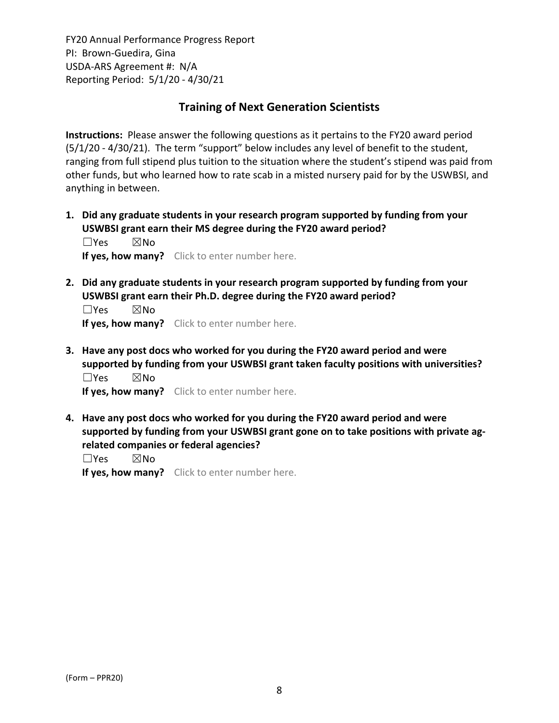### **Training of Next Generation Scientists**

**Instructions:** Please answer the following questions as it pertains to the FY20 award period (5/1/20 ‐ 4/30/21). The term "support" below includes any level of benefit to the student, ranging from full stipend plus tuition to the situation where the student's stipend was paid from other funds, but who learned how to rate scab in a misted nursery paid for by the USWBSI, and anything in between.

**1. Did any graduate students in your research program supported by funding from your USWBSI grant earn their MS degree during the FY20 award period?** ☐Yes ☒No

**If yes, how many?** Click to enter number here.

**2. Did any graduate students in your research program supported by funding from your USWBSI grant earn their Ph.D. degree during the FY20 award period?**

 $\square$ Yes  $\square$ No **If yes, how many?** Click to enter number here.

**3. Have any post docs who worked for you during the FY20 award period and were supported by funding from your USWBSI grant taken faculty positions with universities?** ☐Yes ☒No

**If yes, how many?** Click to enter number here.

**4. Have any post docs who worked for you during the FY20 award period and were supported by funding from your USWBSI grant gone on to take positions with private ag‐ related companies or federal agencies?**

☐Yes ☒No

**If yes, how many?** Click to enter number here.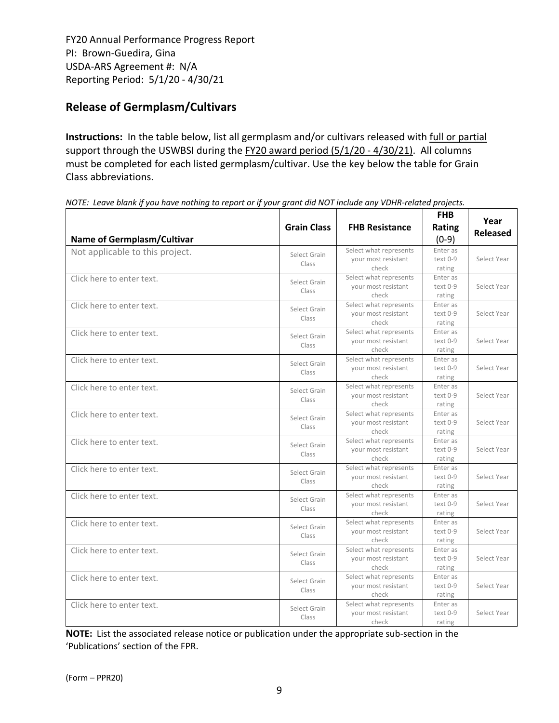# **Release of Germplasm/Cultivars**

**Instructions:** In the table below, list all germplasm and/or cultivars released with full or partial support through the USWBSI during the FY20 award period (5/1/20 - 4/30/21). All columns must be completed for each listed germplasm/cultivar. Use the key below the table for Grain Class abbreviations. 

| <b>Name of Germplasm/Cultivar</b> | <b>Grain Class</b>    | <b>FHB Resistance</b>                                  | <b>FHB</b><br>Rating<br>$(0-9)$ | Year<br><b>Released</b> |
|-----------------------------------|-----------------------|--------------------------------------------------------|---------------------------------|-------------------------|
| Not applicable to this project.   | Select Grain<br>Class | Select what represents<br>your most resistant<br>check | Enter as<br>text 0-9<br>rating  | Select Year             |
| Click here to enter text.         | Select Grain<br>Class | Select what represents<br>your most resistant<br>check | Enter as<br>text 0-9<br>rating  | Select Year             |
| Click here to enter text.         | Select Grain<br>Class | Select what represents<br>your most resistant<br>check | Enter as<br>text 0-9<br>rating  | Select Year             |
| Click here to enter text.         | Select Grain<br>Class | Select what represents<br>your most resistant<br>check | Enter as<br>text 0-9<br>rating  | Select Year             |
| Click here to enter text.         | Select Grain<br>Class | Select what represents<br>your most resistant<br>check | Enter as<br>text 0-9<br>rating  | Select Year             |
| Click here to enter text.         | Select Grain<br>Class | Select what represents<br>your most resistant<br>check | Enter as<br>text 0-9<br>rating  | Select Year             |
| Click here to enter text.         | Select Grain<br>Class | Select what represents<br>your most resistant<br>check | Enter as<br>text 0-9<br>rating  | Select Year             |
| Click here to enter text.         | Select Grain<br>Class | Select what represents<br>your most resistant<br>check | Enter as<br>text 0-9<br>rating  | Select Year             |
| Click here to enter text.         | Select Grain<br>Class | Select what represents<br>your most resistant<br>check | Enter as<br>text 0-9<br>rating  | Select Year             |
| Click here to enter text.         | Select Grain<br>Class | Select what represents<br>your most resistant<br>check | Enter as<br>text 0-9<br>rating  | Select Year             |
| Click here to enter text.         | Select Grain<br>Class | Select what represents<br>your most resistant<br>check | Enter as<br>text 0-9<br>rating  | Select Year             |
| Click here to enter text.         | Select Grain<br>Class | Select what represents<br>your most resistant<br>check | Enter as<br>text 0-9<br>rating  | Select Year             |
| Click here to enter text.         | Select Grain<br>Class | Select what represents<br>your most resistant<br>check | Enter as<br>text 0-9<br>rating  | Select Year             |
| Click here to enter text.         | Select Grain<br>Class | Select what represents<br>your most resistant<br>check | Enter as<br>text 0-9<br>rating  | Select Year             |

NOTE: Leave blank if you have nothing to report or if your grant did NOT include any VDHR-related projects.

**NOTE:** List the associated release notice or publication under the appropriate sub-section in the 'Publications' section of the FPR.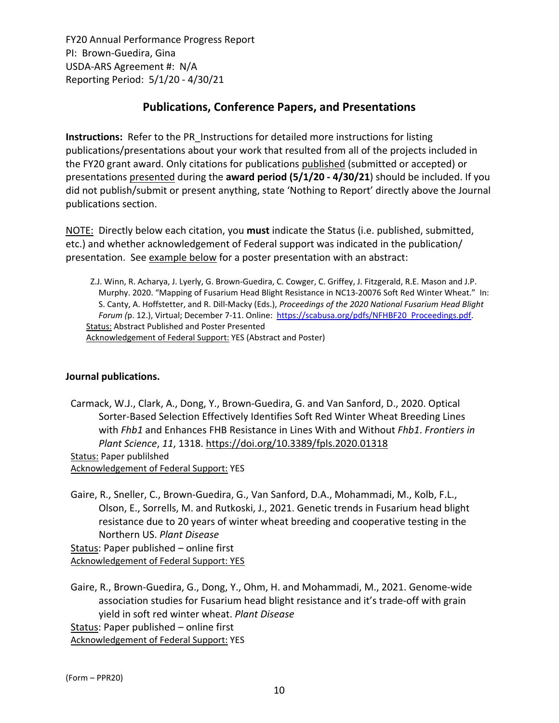## **Publications, Conference Papers, and Presentations**

**Instructions:** Refer to the PR\_Instructions for detailed more instructions for listing publications/presentations about your work that resulted from all of the projects included in the FY20 grant award. Only citations for publications published (submitted or accepted) or presentations presented during the **award period (5/1/20 ‐ 4/30/21**) should be included. If you did not publish/submit or present anything, state 'Nothing to Report' directly above the Journal publications section.

NOTE: Directly below each citation, you **must** indicate the Status (i.e. published, submitted, etc.) and whether acknowledgement of Federal support was indicated in the publication/ presentation. See example below for a poster presentation with an abstract:

Z.J. Winn, R. Acharya, J. Lyerly, G. Brown‐Guedira, C. Cowger, C. Griffey, J. Fitzgerald, R.E. Mason and J.P. Murphy. 2020. "Mapping of Fusarium Head Blight Resistance in NC13‐20076 Soft Red Winter Wheat." In: S. Canty, A. Hoffstetter, and R. Dill‐Macky (Eds.), *Proceedings of the 2020 National Fusarium Head Blight Forum (*p. 12.), Virtual; December 7‐11. Online: https://scabusa.org/pdfs/NFHBF20\_Proceedings.pdf. Status: Abstract Published and Poster Presented Acknowledgement of Federal Support: YES (Abstract and Poster)

#### **Journal publications.**

Carmack, W.J., Clark, A., Dong, Y., Brown‐Guedira, G. and Van Sanford, D., 2020. Optical Sorter‐Based Selection Effectively Identifies Soft Red Winter Wheat Breeding Lines with *Fhb1* and Enhances FHB Resistance in Lines With and Without *Fhb1*. *Frontiers in Plant Science*, *11*, 1318. https://doi.org/10.3389/fpls.2020.01318 Status: Paper publilshed Acknowledgement of Federal Support: YES

Gaire, R., Sneller, C., Brown‐Guedira, G., Van Sanford, D.A., Mohammadi, M., Kolb, F.L., Olson, E., Sorrells, M. and Rutkoski, J., 2021. Genetic trends in Fusarium head blight resistance due to 20 years of winter wheat breeding and cooperative testing in the Northern US. *Plant Disease*

Status: Paper published – online first Acknowledgement of Federal Support: YES

Gaire, R., Brown‐Guedira, G., Dong, Y., Ohm, H. and Mohammadi, M., 2021. Genome‐wide association studies for Fusarium head blight resistance and it's trade‐off with grain yield in soft red winter wheat. *Plant Disease*

Status: Paper published – online first

Acknowledgement of Federal Support: YES